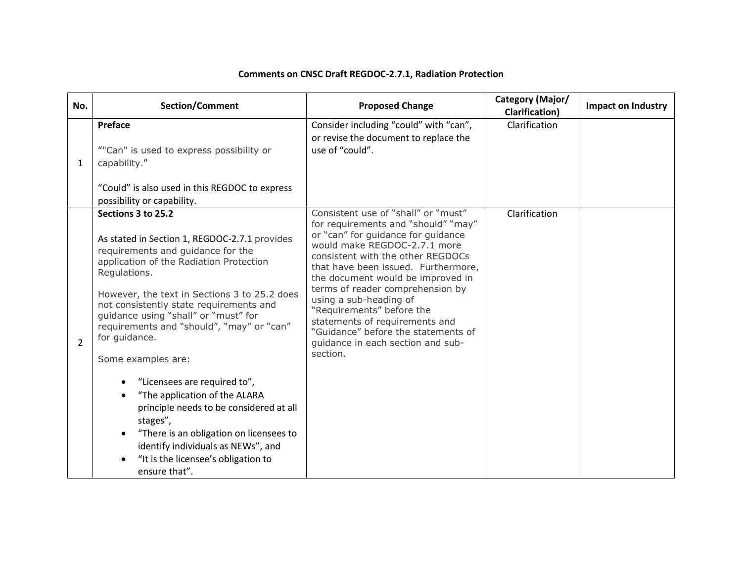## **Comments on CNSC Draft REGDOC-2.7.1, Radiation Protection**

| No.            | Section/Comment                                                                                                                                                                                                                                                                                                                                                                                                                                                                                                                                                                                                                                             | <b>Proposed Change</b>                                                                                                                                                                                                                                                                                                                                                                                                                                                                 | Category (Major/<br><b>Clarification</b> ) | <b>Impact on Industry</b> |
|----------------|-------------------------------------------------------------------------------------------------------------------------------------------------------------------------------------------------------------------------------------------------------------------------------------------------------------------------------------------------------------------------------------------------------------------------------------------------------------------------------------------------------------------------------------------------------------------------------------------------------------------------------------------------------------|----------------------------------------------------------------------------------------------------------------------------------------------------------------------------------------------------------------------------------------------------------------------------------------------------------------------------------------------------------------------------------------------------------------------------------------------------------------------------------------|--------------------------------------------|---------------------------|
| $\mathbf{1}$   | Preface<br>""Can" is used to express possibility or<br>capability."<br>"Could" is also used in this REGDOC to express<br>possibility or capability.                                                                                                                                                                                                                                                                                                                                                                                                                                                                                                         | Consider including "could" with "can",<br>or revise the document to replace the<br>use of "could".                                                                                                                                                                                                                                                                                                                                                                                     | Clarification                              |                           |
| $\overline{2}$ | Sections 3 to 25.2<br>As stated in Section 1, REGDOC-2.7.1 provides<br>requirements and guidance for the<br>application of the Radiation Protection<br>Regulations.<br>However, the text in Sections 3 to 25.2 does<br>not consistently state requirements and<br>guidance using "shall" or "must" for<br>requirements and "should", "may" or "can"<br>for guidance.<br>Some examples are:<br>"Licensees are required to",<br>"The application of the ALARA<br>principle needs to be considered at all<br>stages",<br>"There is an obligation on licensees to<br>identify individuals as NEWs", and<br>"It is the licensee's obligation to<br>ensure that". | Consistent use of "shall" or "must"<br>for requirements and "should" "may"<br>or "can" for guidance for guidance<br>would make REGDOC-2.7.1 more<br>consistent with the other REGDOCs<br>that have been issued. Furthermore,<br>the document would be improved in<br>terms of reader comprehension by<br>using a sub-heading of<br>"Requirements" before the<br>statements of requirements and<br>"Guidance" before the statements of<br>guidance in each section and sub-<br>section. | Clarification                              |                           |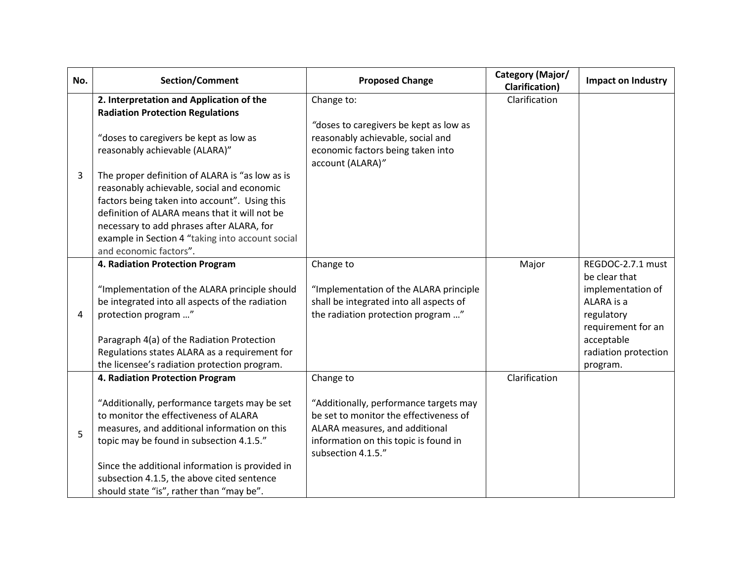| No. | Section/Comment                                                                                                                                                                                                                                                                                                                                                                                                                                                     | <b>Proposed Change</b>                                                                                                                                                                         | Category (Major/<br><b>Clarification</b> ) | <b>Impact on Industry</b>                                                                                                                                   |
|-----|---------------------------------------------------------------------------------------------------------------------------------------------------------------------------------------------------------------------------------------------------------------------------------------------------------------------------------------------------------------------------------------------------------------------------------------------------------------------|------------------------------------------------------------------------------------------------------------------------------------------------------------------------------------------------|--------------------------------------------|-------------------------------------------------------------------------------------------------------------------------------------------------------------|
| 3   | 2. Interpretation and Application of the<br><b>Radiation Protection Regulations</b><br>"doses to caregivers be kept as low as<br>reasonably achievable (ALARA)"<br>The proper definition of ALARA is "as low as is<br>reasonably achievable, social and economic<br>factors being taken into account". Using this<br>definition of ALARA means that it will not be<br>necessary to add phrases after ALARA, for<br>example in Section 4 "taking into account social | Change to:<br>"doses to caregivers be kept as low as<br>reasonably achievable, social and<br>economic factors being taken into<br>account (ALARA)"                                             | Clarification                              |                                                                                                                                                             |
| 4   | and economic factors".<br>4. Radiation Protection Program<br>"Implementation of the ALARA principle should<br>be integrated into all aspects of the radiation<br>protection program "<br>Paragraph 4(a) of the Radiation Protection<br>Regulations states ALARA as a requirement for<br>the licensee's radiation protection program.                                                                                                                                | Change to<br>"Implementation of the ALARA principle<br>shall be integrated into all aspects of<br>the radiation protection program "                                                           | Major                                      | REGDOC-2.7.1 must<br>be clear that<br>implementation of<br>ALARA is a<br>regulatory<br>requirement for an<br>acceptable<br>radiation protection<br>program. |
| 5   | 4. Radiation Protection Program<br>"Additionally, performance targets may be set<br>to monitor the effectiveness of ALARA<br>measures, and additional information on this<br>topic may be found in subsection 4.1.5."<br>Since the additional information is provided in<br>subsection 4.1.5, the above cited sentence<br>should state "is", rather than "may be".                                                                                                  | Change to<br>"Additionally, performance targets may<br>be set to monitor the effectiveness of<br>ALARA measures, and additional<br>information on this topic is found in<br>subsection 4.1.5." | Clarification                              |                                                                                                                                                             |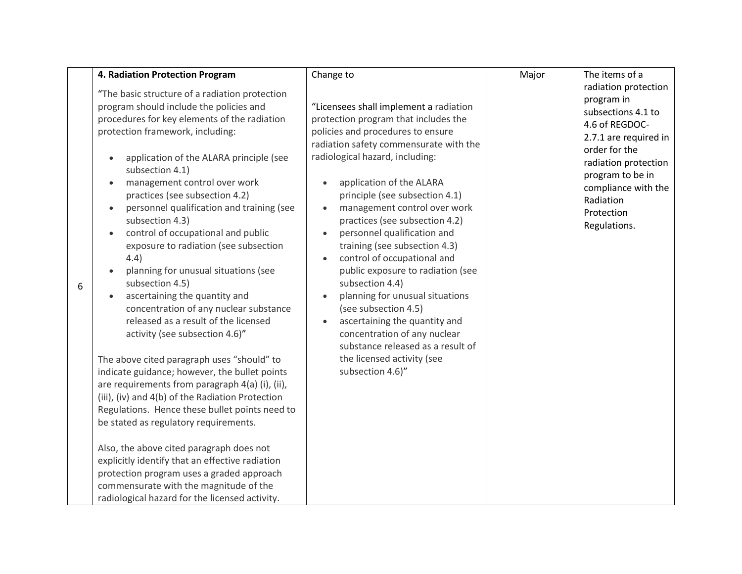|   | 4. Radiation Protection Program                                                                                                                                                                                                                                                                                                                                                                                                                                                                                                                                                                                                                                                                                                                                                                                                                                                                                                                                                                                                                                                                                                                                                                                               | Change to                                                                                                                                                                                                                                                                                                                                                                                                                                                                                                                                                                                                                                                                                                  | Major | The items of a                                                                                                                                                                                                                     |
|---|-------------------------------------------------------------------------------------------------------------------------------------------------------------------------------------------------------------------------------------------------------------------------------------------------------------------------------------------------------------------------------------------------------------------------------------------------------------------------------------------------------------------------------------------------------------------------------------------------------------------------------------------------------------------------------------------------------------------------------------------------------------------------------------------------------------------------------------------------------------------------------------------------------------------------------------------------------------------------------------------------------------------------------------------------------------------------------------------------------------------------------------------------------------------------------------------------------------------------------|------------------------------------------------------------------------------------------------------------------------------------------------------------------------------------------------------------------------------------------------------------------------------------------------------------------------------------------------------------------------------------------------------------------------------------------------------------------------------------------------------------------------------------------------------------------------------------------------------------------------------------------------------------------------------------------------------------|-------|------------------------------------------------------------------------------------------------------------------------------------------------------------------------------------------------------------------------------------|
| 6 | "The basic structure of a radiation protection<br>program should include the policies and<br>procedures for key elements of the radiation<br>protection framework, including:<br>application of the ALARA principle (see<br>subsection 4.1)<br>management control over work<br>practices (see subsection 4.2)<br>personnel qualification and training (see<br>subsection 4.3)<br>control of occupational and public<br>exposure to radiation (see subsection<br>4.4)<br>planning for unusual situations (see<br>subsection 4.5)<br>ascertaining the quantity and<br>concentration of any nuclear substance<br>released as a result of the licensed<br>activity (see subsection 4.6)"<br>The above cited paragraph uses "should" to<br>indicate guidance; however, the bullet points<br>are requirements from paragraph 4(a) (i), (ii),<br>(iii), (iv) and 4(b) of the Radiation Protection<br>Regulations. Hence these bullet points need to<br>be stated as regulatory requirements.<br>Also, the above cited paragraph does not<br>explicitly identify that an effective radiation<br>protection program uses a graded approach<br>commensurate with the magnitude of the<br>radiological hazard for the licensed activity. | "Licensees shall implement a radiation<br>protection program that includes the<br>policies and procedures to ensure<br>radiation safety commensurate with the<br>radiological hazard, including:<br>application of the ALARA<br>principle (see subsection 4.1)<br>management control over work<br>practices (see subsection 4.2)<br>personnel qualification and<br>training (see subsection 4.3)<br>control of occupational and<br>public exposure to radiation (see<br>subsection 4.4)<br>planning for unusual situations<br>(see subsection 4.5)<br>ascertaining the quantity and<br>concentration of any nuclear<br>substance released as a result of<br>the licensed activity (see<br>subsection 4.6)" |       | radiation protection<br>program in<br>subsections 4.1 to<br>4.6 of REGDOC-<br>2.7.1 are required in<br>order for the<br>radiation protection<br>program to be in<br>compliance with the<br>Radiation<br>Protection<br>Regulations. |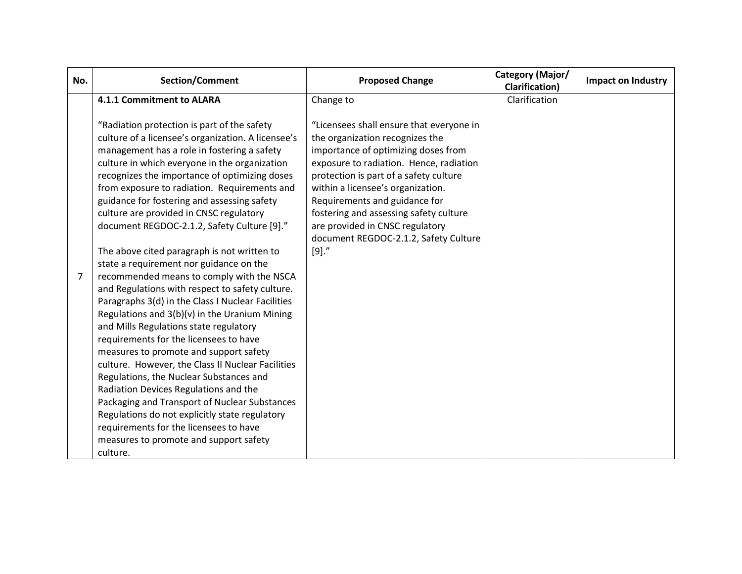| No. | Section/Comment                                                                                                                                                                                                                                                                                                                                                                                                                                                                                                                                                                                                                                                                                                                                                                                                                                                                                                                                                                                                                                                     | <b>Proposed Change</b>                                                                                                                                                                                                                                                                                                                                                                                      | Category (Major/<br><b>Clarification</b> ) | Impact on Industry |
|-----|---------------------------------------------------------------------------------------------------------------------------------------------------------------------------------------------------------------------------------------------------------------------------------------------------------------------------------------------------------------------------------------------------------------------------------------------------------------------------------------------------------------------------------------------------------------------------------------------------------------------------------------------------------------------------------------------------------------------------------------------------------------------------------------------------------------------------------------------------------------------------------------------------------------------------------------------------------------------------------------------------------------------------------------------------------------------|-------------------------------------------------------------------------------------------------------------------------------------------------------------------------------------------------------------------------------------------------------------------------------------------------------------------------------------------------------------------------------------------------------------|--------------------------------------------|--------------------|
|     | 4.1.1 Commitment to ALARA                                                                                                                                                                                                                                                                                                                                                                                                                                                                                                                                                                                                                                                                                                                                                                                                                                                                                                                                                                                                                                           | Change to                                                                                                                                                                                                                                                                                                                                                                                                   | Clarification                              |                    |
| 7   | "Radiation protection is part of the safety<br>culture of a licensee's organization. A licensee's<br>management has a role in fostering a safety<br>culture in which everyone in the organization<br>recognizes the importance of optimizing doses<br>from exposure to radiation. Requirements and<br>guidance for fostering and assessing safety<br>culture are provided in CNSC regulatory<br>document REGDOC-2.1.2, Safety Culture [9]."<br>The above cited paragraph is not written to<br>state a requirement nor guidance on the<br>recommended means to comply with the NSCA<br>and Regulations with respect to safety culture.<br>Paragraphs 3(d) in the Class I Nuclear Facilities<br>Regulations and 3(b)(v) in the Uranium Mining<br>and Mills Regulations state regulatory<br>requirements for the licensees to have<br>measures to promote and support safety<br>culture. However, the Class II Nuclear Facilities<br>Regulations, the Nuclear Substances and<br>Radiation Devices Regulations and the<br>Packaging and Transport of Nuclear Substances | "Licensees shall ensure that everyone in<br>the organization recognizes the<br>importance of optimizing doses from<br>exposure to radiation. Hence, radiation<br>protection is part of a safety culture<br>within a licensee's organization.<br>Requirements and guidance for<br>fostering and assessing safety culture<br>are provided in CNSC regulatory<br>document REGDOC-2.1.2, Safety Culture<br>[9]' |                                            |                    |
|     | Regulations do not explicitly state regulatory<br>requirements for the licensees to have<br>measures to promote and support safety                                                                                                                                                                                                                                                                                                                                                                                                                                                                                                                                                                                                                                                                                                                                                                                                                                                                                                                                  |                                                                                                                                                                                                                                                                                                                                                                                                             |                                            |                    |
|     | culture.                                                                                                                                                                                                                                                                                                                                                                                                                                                                                                                                                                                                                                                                                                                                                                                                                                                                                                                                                                                                                                                            |                                                                                                                                                                                                                                                                                                                                                                                                             |                                            |                    |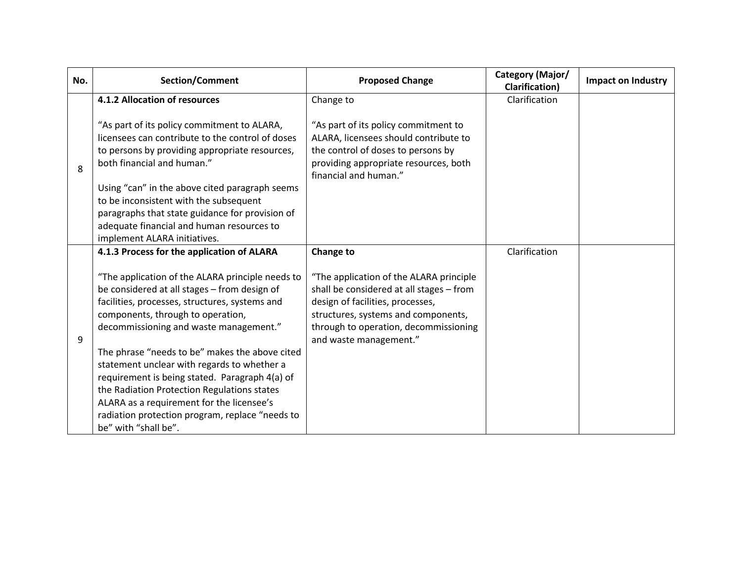| No. | Section/Comment                                                                                 | <b>Proposed Change</b>                                                        | Category (Major/<br><b>Clarification</b> ) | Impact on Industry |
|-----|-------------------------------------------------------------------------------------------------|-------------------------------------------------------------------------------|--------------------------------------------|--------------------|
|     | 4.1.2 Allocation of resources                                                                   | Change to                                                                     | Clarification                              |                    |
|     | "As part of its policy commitment to ALARA,<br>licensees can contribute to the control of doses | "As part of its policy commitment to<br>ALARA, licensees should contribute to |                                            |                    |
|     | to persons by providing appropriate resources,                                                  | the control of doses to persons by                                            |                                            |                    |
| 8   | both financial and human."                                                                      | providing appropriate resources, both<br>financial and human."                |                                            |                    |
|     | Using "can" in the above cited paragraph seems                                                  |                                                                               |                                            |                    |
|     | to be inconsistent with the subsequent                                                          |                                                                               |                                            |                    |
|     | paragraphs that state guidance for provision of                                                 |                                                                               |                                            |                    |
|     | adequate financial and human resources to                                                       |                                                                               |                                            |                    |
|     | implement ALARA initiatives.<br>4.1.3 Process for the application of ALARA                      | Change to                                                                     | Clarification                              |                    |
|     |                                                                                                 |                                                                               |                                            |                    |
|     | "The application of the ALARA principle needs to                                                | "The application of the ALARA principle                                       |                                            |                    |
|     | be considered at all stages - from design of                                                    | shall be considered at all stages - from                                      |                                            |                    |
|     | facilities, processes, structures, systems and                                                  | design of facilities, processes,                                              |                                            |                    |
|     | components, through to operation,                                                               | structures, systems and components,                                           |                                            |                    |
| 9   | decommissioning and waste management."                                                          | through to operation, decommissioning<br>and waste management."               |                                            |                    |
|     | The phrase "needs to be" makes the above cited                                                  |                                                                               |                                            |                    |
|     | statement unclear with regards to whether a                                                     |                                                                               |                                            |                    |
|     | requirement is being stated. Paragraph 4(a) of                                                  |                                                                               |                                            |                    |
|     | the Radiation Protection Regulations states                                                     |                                                                               |                                            |                    |
|     | ALARA as a requirement for the licensee's                                                       |                                                                               |                                            |                    |
|     | radiation protection program, replace "needs to                                                 |                                                                               |                                            |                    |
|     | be" with "shall be".                                                                            |                                                                               |                                            |                    |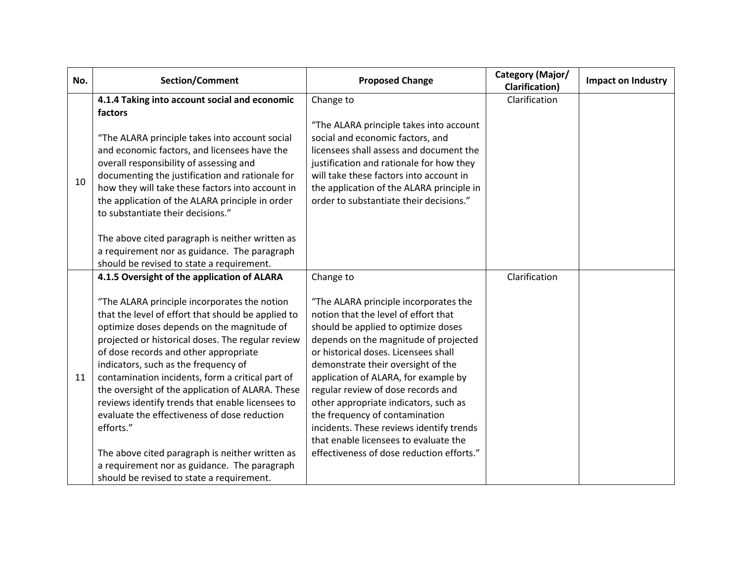| No. | Section/Comment                                                                                                                                                                                                                                                                                                                                                                                                                                                                                                                                                                                                                                                                                                | <b>Proposed Change</b>                                                                                                                                                                                                                                                                                                                                                                                                                                                                                                                              | Category (Major/<br><b>Clarification</b> ) | Impact on Industry |
|-----|----------------------------------------------------------------------------------------------------------------------------------------------------------------------------------------------------------------------------------------------------------------------------------------------------------------------------------------------------------------------------------------------------------------------------------------------------------------------------------------------------------------------------------------------------------------------------------------------------------------------------------------------------------------------------------------------------------------|-----------------------------------------------------------------------------------------------------------------------------------------------------------------------------------------------------------------------------------------------------------------------------------------------------------------------------------------------------------------------------------------------------------------------------------------------------------------------------------------------------------------------------------------------------|--------------------------------------------|--------------------|
| 10  | 4.1.4 Taking into account social and economic<br>factors<br>"The ALARA principle takes into account social<br>and economic factors, and licensees have the<br>overall responsibility of assessing and<br>documenting the justification and rationale for<br>how they will take these factors into account in<br>the application of the ALARA principle in order<br>to substantiate their decisions."<br>The above cited paragraph is neither written as<br>a requirement nor as guidance. The paragraph<br>should be revised to state a requirement.                                                                                                                                                           | Change to<br>"The ALARA principle takes into account<br>social and economic factors, and<br>licensees shall assess and document the<br>justification and rationale for how they<br>will take these factors into account in<br>the application of the ALARA principle in<br>order to substantiate their decisions."                                                                                                                                                                                                                                  | Clarification                              |                    |
| 11  | 4.1.5 Oversight of the application of ALARA<br>"The ALARA principle incorporates the notion<br>that the level of effort that should be applied to<br>optimize doses depends on the magnitude of<br>projected or historical doses. The regular review<br>of dose records and other appropriate<br>indicators, such as the frequency of<br>contamination incidents, form a critical part of<br>the oversight of the application of ALARA. These<br>reviews identify trends that enable licensees to<br>evaluate the effectiveness of dose reduction<br>efforts."<br>The above cited paragraph is neither written as<br>a requirement nor as guidance. The paragraph<br>should be revised to state a requirement. | Change to<br>"The ALARA principle incorporates the<br>notion that the level of effort that<br>should be applied to optimize doses<br>depends on the magnitude of projected<br>or historical doses. Licensees shall<br>demonstrate their oversight of the<br>application of ALARA, for example by<br>regular review of dose records and<br>other appropriate indicators, such as<br>the frequency of contamination<br>incidents. These reviews identify trends<br>that enable licensees to evaluate the<br>effectiveness of dose reduction efforts." | Clarification                              |                    |